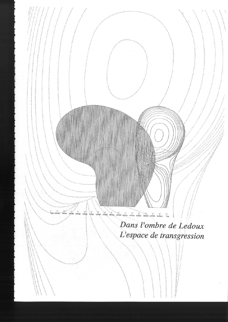Dans l'ombre de Ledoux L'espace de transgression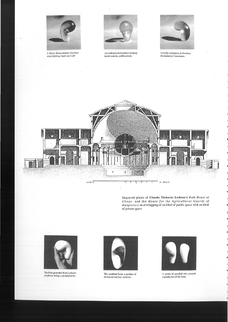

A three-dimensional Moebius<br>strip folding back on itself



An undemarcated surface merging inside/outside, public/private



Sexually ambiguous, it dissolves discriminatory boundaries



Engraved plates of Claude Nicholas Ledoux's Bath House at Chaux and the House for the Agricultural Guards of Maupertuis an overlapping of an ideal of public space with an ideal of private space



The form generated from Ledoux's shadows using a prophylactic



The resultant form: a product of distorted surface tensions



A series of parallel cuts permits reproduction of the form